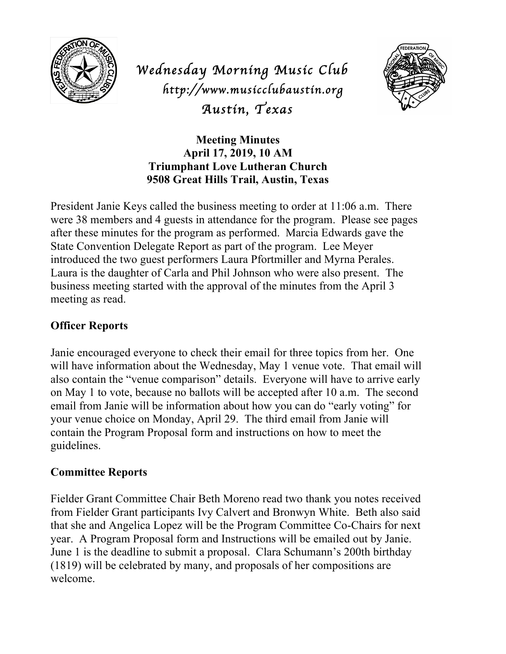

*Wednesday Morning Music Club http://www.musicclubaustin.org Austin, Texas* 



**Meeting Minutes April 17, 2019, 10 AM Triumphant Love Lutheran Church 9508 Great Hills Trail, Austin, Texas**

President Janie Keys called the business meeting to order at 11:06 a.m. There were 38 members and 4 guests in attendance for the program. Please see pages after these minutes for the program as performed. Marcia Edwards gave the State Convention Delegate Report as part of the program. Lee Meyer introduced the two guest performers Laura Pfortmiller and Myrna Perales. Laura is the daughter of Carla and Phil Johnson who were also present. The business meeting started with the approval of the minutes from the April 3 meeting as read.

# **Officer Reports**

Janie encouraged everyone to check their email for three topics from her. One will have information about the Wednesday, May 1 venue vote. That email will also contain the "venue comparison" details. Everyone will have to arrive early on May 1 to vote, because no ballots will be accepted after 10 a.m. The second email from Janie will be information about how you can do "early voting" for your venue choice on Monday, April 29. The third email from Janie will contain the Program Proposal form and instructions on how to meet the guidelines.

## **Committee Reports**

Fielder Grant Committee Chair Beth Moreno read two thank you notes received from Fielder Grant participants Ivy Calvert and Bronwyn White. Beth also said that she and Angelica Lopez will be the Program Committee Co-Chairs for next year. A Program Proposal form and Instructions will be emailed out by Janie. June 1 is the deadline to submit a proposal. Clara Schumann's 200th birthday (1819) will be celebrated by many, and proposals of her compositions are welcome.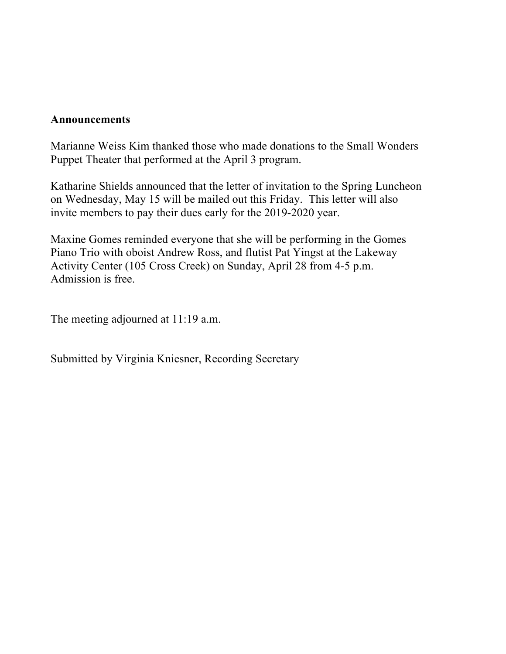## **Announcements**

Marianne Weiss Kim thanked those who made donations to the Small Wonders Puppet Theater that performed at the April 3 program.

Katharine Shields announced that the letter of invitation to the Spring Luncheon on Wednesday, May 15 will be mailed out this Friday. This letter will also invite members to pay their dues early for the 2019-2020 year.

Maxine Gomes reminded everyone that she will be performing in the Gomes Piano Trio with oboist Andrew Ross, and flutist Pat Yingst at the Lakeway Activity Center (105 Cross Creek) on Sunday, April 28 from 4-5 p.m. Admission is free.

The meeting adjourned at 11:19 a.m.

Submitted by Virginia Kniesner, Recording Secretary